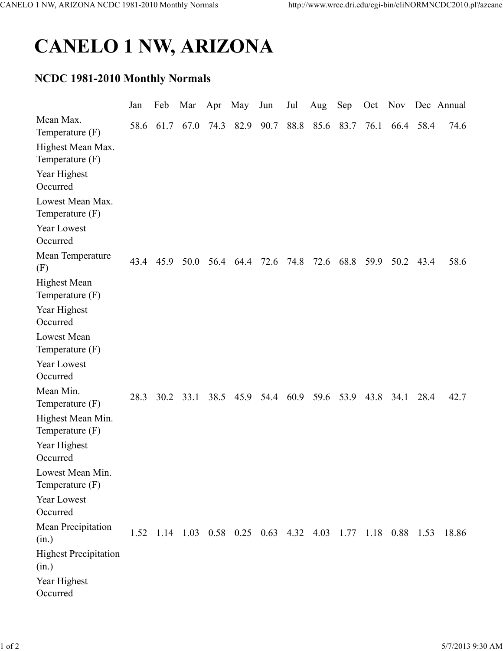## CANELO 1 NW, ARIZONA

## NCDC 1981-2010 Monthly Normals

|                                          | Jan  | Feb  | Mar  | Apr  | May                                                         | Jun  | Jul  | Aug       | Sep            | Oct       |      |           | Nov Dec Annual |
|------------------------------------------|------|------|------|------|-------------------------------------------------------------|------|------|-----------|----------------|-----------|------|-----------|----------------|
| Mean Max.<br>Temperature $(F)$           | 58.6 | 61.7 | 67.0 | 74.3 | 82.9                                                        | 90.7 |      |           | 88.8 85.6 83.7 | 76.1      |      | 66.4 58.4 | 74.6           |
| Highest Mean Max.<br>Temperature $(F)$   |      |      |      |      |                                                             |      |      |           |                |           |      |           |                |
| Year Highest<br>Occurred                 |      |      |      |      |                                                             |      |      |           |                |           |      |           |                |
| Lowest Mean Max.<br>Temperature $(F)$    |      |      |      |      |                                                             |      |      |           |                |           |      |           |                |
| Year Lowest<br>Occurred                  |      |      |      |      |                                                             |      |      |           |                |           |      |           |                |
| Mean Temperature<br>(F)                  | 43.4 | 45.9 |      |      | 50.0 56.4 64.4                                              | 72.6 | 74.8 | 72.6      |                | 68.8 59.9 | 50.2 | 43.4      | 58.6           |
| <b>Highest Mean</b><br>Temperature $(F)$ |      |      |      |      |                                                             |      |      |           |                |           |      |           |                |
| Year Highest<br>Occurred                 |      |      |      |      |                                                             |      |      |           |                |           |      |           |                |
| <b>Lowest Mean</b><br>Temperature $(F)$  |      |      |      |      |                                                             |      |      |           |                |           |      |           |                |
| Year Lowest<br>Occurred                  |      |      |      |      |                                                             |      |      |           |                |           |      |           |                |
| Mean Min.<br>Temperature (F)             | 28.3 | 30.2 | 33.1 |      | 38.5 45.9 54.4                                              |      |      | 60.9 59.6 | 53.9           | 43.8      | 34.1 | 28.4      | 42.7           |
| Highest Mean Min.<br>Temperature $(F)$   |      |      |      |      |                                                             |      |      |           |                |           |      |           |                |
| Year Highest<br>Occurred                 |      |      |      |      |                                                             |      |      |           |                |           |      |           |                |
| Lowest Mean Min.<br>Temperature $(F)$    |      |      |      |      |                                                             |      |      |           |                |           |      |           |                |
| Year Lowest<br>Occurred                  |      |      |      |      |                                                             |      |      |           |                |           |      |           |                |
| Mean Precipitation<br>(in.)              |      |      |      |      | 1.52 1.14 1.03 0.58 0.25 0.63 4.32 4.03 1.77 1.18 0.88 1.53 |      |      |           |                |           |      |           | 18.86          |
| <b>Highest Precipitation</b><br>(in.)    |      |      |      |      |                                                             |      |      |           |                |           |      |           |                |
| Year Highest<br>Occurred                 |      |      |      |      |                                                             |      |      |           |                |           |      |           |                |